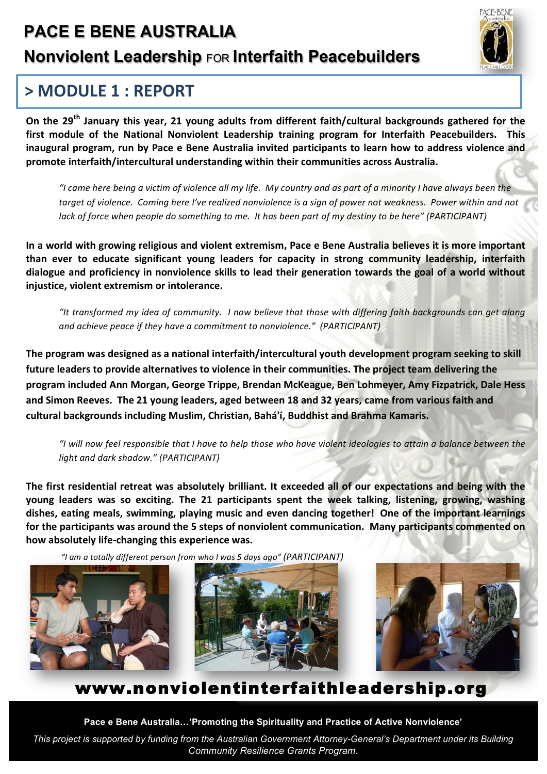## **PACE E BENE AUSTRALIA**

#### **Nonviolent Leadership FOR Interfaith Peacebuilders**

# 'ACF-BENE

### > MODULF 1 : REPORT

On the 29<sup>th</sup> January this year, 21 young adults from different faith/cultural backgrounds gathered for the first module of the National Nonviolent Leadership training program for Interfaith Peacebuilders. This inaugural program, run by Pace e Bene Australia invited participants to learn how to address violence and promote interfaith/intercultural understanding within their communities across Australia.

"I came here being a victim of violence all my life. My country and as part of a minority I have always been the target of violence. Coming here I've realized nonviolence is a sign of power not weakness. Power within and not lack of force when people do something to me. It has been part of my destiny to be here" (PARTICIPANT)

In a world with growing religious and violent extremism, Pace e Bene Australia believes it is more important than ever to educate significant young leaders for capacity in strong community leadership, interfaith dialogue and proficiency in nonviolence skills to lead their generation towards the goal of a world without injustice, violent extremism or intolerance.

"It transformed my idea of community. I now believe that those with differing faith backgrounds can get along and achieve peace if they have a commitment to nonviolence." (PARTICIPANT)

The program was designed as a national interfaith/intercultural youth development program seeking to skill future leaders to provide alternatives to violence in their communities. The project team delivering the program included Ann Morgan, George Trippe, Brendan McKeague, Ben Lohmeyer, Amy Fizpatrick, Dale Hess and Simon Reeves. The 21 young leaders, aged between 18 and 32 years, came from various faith and cultural backgrounds including Muslim, Christian, Bahá'í, Buddhist and Brahma Kamaris.

"I will now feel responsible that I have to help those who have violent ideologies to attain a balance between the light and dark shadow." (PARTICIPANT)

The first residential retreat was absolutely brilliant. It exceeded all of our expectations and being with the young leaders was so exciting. The 21 participants spent the week talking, listening, growing, washing dishes, eating meals, swimming, playing music and even dancing together! One of the important learnings for the participants was around the 5 steps of nonviolent communication. Many participants commented on how absolutely life-changing this experience was.

"I am a totally different person from who I was 5 days ago" (PARTICIPANT)







#### www.nonviolentinterfaithleadership.org

Pace e Bene Australia...'Promoting the Spirituality and Practice of Active Nonviolence'

This project is supported by funding from the Australian Government Attorney-General's Department under its Building **Community Resilience Grants Program.**